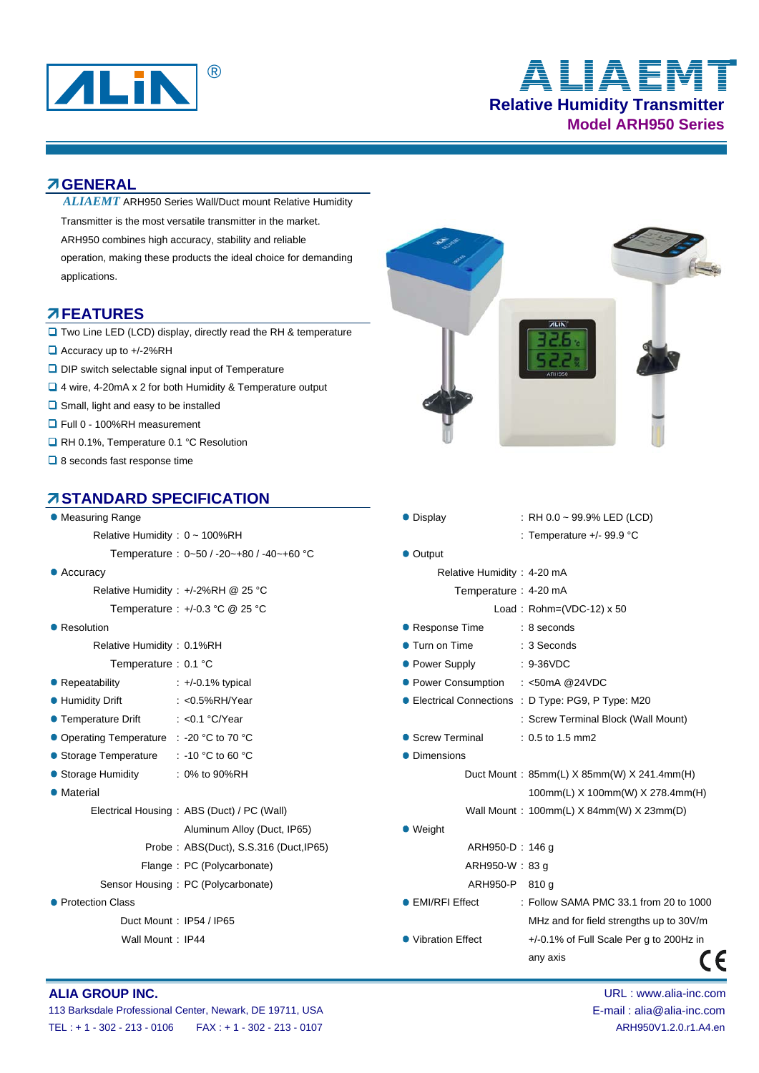

# **Relative Humidity Transmitter Model ARH950 Series** ® **ALIAEMT**

### **GENERAL**

Transmitter is the most versatile transmitter in the market. ARH950 combines high accuracy, stability and reliable operation, making these products the ideal choice for demanding applications. ARH950 Series Wall/Duct mount Relative Humidity *ALIAEMT* 

### **FEATURES**

- **T** Two Line LED (LCD) display, directly read the RH & temperature
- Accuracy up to +/-2%RH
- **D** DIP switch selectable signal input of Temperature
- 4 wire, 4-20mA x 2 for both Humidity & Temperature output
- **□** Small, light and easy to be installed
- Full 0 100%RH measurement
- **Q** RH 0.1%, Temperature 0.1 °C Resolution
- **□** 8 seconds fast response time

### **STANDARD SPECIFICATION**

| • Measuring Range                          | • Display<br>: RH 0.0 ~ 99.9% LED (LCD)             |                                            |
|--------------------------------------------|-----------------------------------------------------|--------------------------------------------|
| Relative Humidity: 0 ~ 100%RH              | : Temperature $+/-$ 99.9 °C                         |                                            |
| Temperature: $0-50/ -20-180/ -40-160$ °C   | • Output                                            |                                            |
| $\bullet$ Accuracy                         | Relative Humidity: 4-20 mA                          |                                            |
| Relative Humidity: +/-2%RH @ 25 °C         | Temperature: 4-20 mA                                |                                            |
| Temperature : $+/-0.3$ °C @ 25 °C          | Load: $Rohn=(VDC-12) \times 50$                     |                                            |
| • Resolution                               | ● Response Time<br>: 8 seconds                      |                                            |
| Relative Humidity: 0.1%RH                  | ● Turn on Time<br>: 3 Seconds                       |                                            |
| Temperature: 0.1 °C                        | • Power Supply<br>$: 9-36VDC$                       |                                            |
| • Repeatability<br>$: +/-0.1\%$ typical    | • Power Consumption<br>: <50mA @24VDC               |                                            |
| <b>• Humidity Drift</b><br>: <0.5%RH/Year  | ● Electrical Connections : D Type: PG9, P Type: M20 |                                            |
| ● Temperature Drift<br>: <0.1 $°C/Year$    | : Screw Terminal Block (Wall Mount)                 |                                            |
| ● Operating Temperature : -20 °C to 70 °C  | • Screw Terminal<br>: 0.5 to 1.5 mm2                |                                            |
| : -10 °C to 60 °C<br>• Storage Temperature | • Dimensions                                        |                                            |
| : 0% to 90%RH<br>• Storage Humidity        | Duct Mount: 85mm(L) X 85mm(W) X 241.4mm(H)          |                                            |
| • Material                                 |                                                     | 100mm(L) X 100mm(W) X 278.4mm(H)           |
| Electrical Housing: ABS (Duct) / PC (Wall) | Wall Mount: 100mm(L) X 84mm(W) X 23mm(D)            |                                            |
| Aluminum Alloy (Duct, IP65)                | $\bullet$ Weight                                    |                                            |
| Probe: ABS(Duct), S.S.316 (Duct, IP65)     | ARH950-D: 146 g                                     |                                            |
| Flange: PC (Polycarbonate)                 | ARH950-W: 83 g                                      |                                            |
| Sensor Housing: PC (Polycarbonate)         | ARH950-P 810 g                                      |                                            |
| • Protection Class                         | ● EMI/RFI Effect                                    | : Follow SAMA PMC 33.1 from 20 to 1000     |
| Duct Mount: IP54 / IP65                    |                                                     | MHz and for field strengths up to 30V/m    |
| Wall Mount: IP44                           | • Vibration Effect                                  | $+/-0.1\%$ of Full Scale Per g to 200Hz in |
|                                            | any axis                                            |                                            |